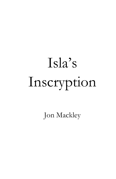# Isla's Inscryption

Jon Mackley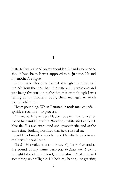**1**

It started with a hand on my shoulder. A hand where none should have been. It was supposed to be just me. Me and my mother's corpse.

A thousand thoughts flashed through my mind as I turned: from the idea that I'd outstayed my welcome and was being thrown out, to the idea that even though I was staring at my mother's body, she'd managed to reach round behind me.

Heart pounding. When I turned it took me seconds – spiritless seconds – to process.

A man. Early seventies? Maybe not even that. Traces of blond hair amid the white. Wearing a white shirt and dark blue tie. His eyes were kind and sympathetic, and at the same time, looking horrified that he'd startled me.

And I had no idea who he was. Or why he was in my mother's funeral home.

"Isla?" His voice was sonorous. My heart fluttered at the sound of my name. *How does he know who I am?* I thought I'd spoken out loud, but I realised I'd stammered something unintelligible. He held my hands, like greeting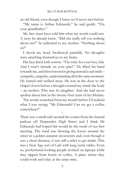an old friend, even though I knew we'd never met before.

"My name is Arthur Edmunds," he said gently. "I'm your grandfather."

My face must have told him what my words could not. A story he already knew. "Did she really tell you nothing about me?" he indicated to my mother. "Nothing about us?"

I shook my head. Swallowed painfully. No thoughts were attaching themselves to my brain.

His face lined with sorrow. "I'm sorry for your loss, Isla. And I won't intrude on your grief." He lifted his hand towards me, and then lowered it giving instead a sad smile – sympathy, empathy, understanding all in the same moment. He turned and walked away. He was at the door to the chapel of rest before a thought crossed my mind: the body – *my* mother. This was *his* daughter. And she had never spoken about him in the twenty-four years of my lifetime.

The words scratched from my mouth before I'd realised what I was saying: "Mr Edmunds? Can we get a coffee somewhere?"

\*

There was a small café around the corner from the funeral parlour off Harpenden High Street and I think Mr Edmunds had hoped this would be the result of our first meeting. The wind was blowing the leaves around the street in a golden autumn snowstorm and, even though it was a short distance, it was still a relief to get inside. This was a New Age sort of Café with long rustic tables. Even so, professional-looking people worked on laptops while they sipped from bowls of coffee. A place where they could work and relax at the same time.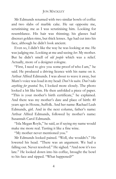### **JON MACKLEY**

Mr Edmunds returned with two similar bowls of coffee and two slabs of marble cake. He sat opposite me, scrutinising me as I was scrutinising him. Looking for resemblance. His hair was thinning; his glasses had discreet golden rims, but thick lenses. Age had cut into his face, although he didn't look ancient.

Even so, I didn't like the way he was looking at me. He was judging me. Looking at me and seeing *her*. My mother. But he didn't smell of *old people* which was a relief. Actually, more of a designer cologne.

"First, I need to give you some proof of who I am," he said. He produced a driving licence with his name on it. Arthur Alfred Edmunds. I was about to wave it away, but Mum's voice was loud in my head: *Don't be naïve. Don't take anything for granted.* So, I looked more closely. The photo looked a bit like him. He then unfolded a piece of paper. "This is your mother's birth certificate," he explained. And there was my mother's date and place of birth: 40 years ago in Hoxne, Suffolk. And her name: Rachael Leah Edmunds, girl. And in the next column, father's name: Arthur Alfred Edmunds, followed by mother's name: Susannah Carol Edmunds.

"Isla Megan Royle," he said, as if saying my name would make me more real. Tasting it like a fine wine.

"My mother never mentioned you."

Mr Edmunds looked pained. "Well, she wouldn't." He lowered his head. "There was an argument. We had a falling out. Never resolved." He sighed. "And now it's too late." He looked down into his coffee, brought the bowl to his face and sipped. "What happened?"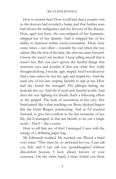How to answer that? How to tell him that a routine visit to the doctors had revealed a lump; and that further tests had shown the malignancy and the ferocity of the disease. How, aged just forty, she was stripped of her humanity, stripped her of her identity. And it stripped her of her ability to function within social constraints. There were some times – not often – towards the end when she was salient. But the rest of the time, the *other one* came forward. I know she wasn't my mother. I keep telling myself that it wasn't her. But you can't ignore the hurtful things that someone says and wonder if that was what they really thought all along. Iwasfat, ugly, stupid. And I would never find a man unless he was fat, ugly and stupid too. And she used one of her last, rasping breaths to spit at me. How had she found the strength? The phlegm hitting me beneath the eye. And she'd used such hateful words. And then she was fighting for breath. Such a wheezing effort as she gasped. The look of accusation in her eyes. Her hand raised, like a claw reaching out. Bony, skeletal fingers like the Grim Reaper summoning. And as I'd reached forward, to give her comfort in the last moments of her life, she'd managed, in that last breath, to let out a single word – *Don't! –* like a curse.

How to tell him any of this? I managed *Cancer* with the energy of a deflating paper bag.

Mr Edmunds nodded. He reached out. Placed a hand over mine. "This must be so awkward for you. I can call you 'Isla' and I can call you 'granddaughter' without discomfort because I have always known of your existence. On the other hand, I must forbid you from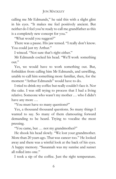### **JON MACKLEY**

calling me Mr Edmunds," he said this with a slight glint in his eyes. "It makes me feel positively ancient. But neither do I feel you're ready to call me grandfather as this is a completely new concept for you."

"What would you suggest?"

There was a pause. His jaw tensed. "I really don't know. You could just try Arthur."

I winced. "Not sure that's right either."

Mr Edmunds cocked his head. "We'll work something out."

Yes, we would have to work something out. But, forbidden from calling him Mr Edmunds, and unwilling, unable to call him something more familiar, then, for the moment "Arthur Edmunds" would have to do.

I tried to drink my coffee but really couldn't face it. Nor the cake. I was still trying to process that I had a living relative. Someone who wasn't my mother … who I didn't have any more …

"You must have so many questions?"

Yes, a thousand thousand questions. So many things I wanted to say. So many of them clamouring forward demanding to be heard. Trying to vocalise the most pressing.

"You came, but … not my grandmother?"

He shook his head slowly. "We lost your grandmother. More than 20 years ago. That was cancer too." He looked away and there was a wistful look at the back of his eyes. A happy memory. "Susannah was my sunrise and sunset all rolled into one."

I took a sip of the coffee. Just the right temperature.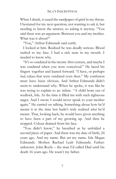When I drank, it eased the sandpaper of grief in my throat. I hesitated for my next question, not wanting to ask it, but needing to know the answer, so asking it anyway. "You said there was an argument. Between you and my mother. What was it about?"

"You," Arthur Edmunds said curtly.

I looked at him. Realised he was deadly serious. Blood rushed to my face. I had a sick taste in my mouth. I needed to know why.

"It's so outdated in the twenty-first century, and maybe I was outdated when you were conceived." He laced his fingers together and leaned forward. "I have, or perhaps *had*, values that were outdated even then." My confusion must have been obvious. And Arthur Edmunds didn't seem to understand why. When he spoke, it was like he was trying to explain to an infant. "A child born out of wedlock, Isla. At the time it filled me with such righteous anger. And I swore I would never speak to your mother again." He carried on talking. Something about how he'd meant it at the time but hadn't truly realised *what* he'd meant. That, looking back, he would have given anything to have been a part of my growing up. And then he stopped. Colour drained from his face.

"You didn't know," he breathed as he unfolded a second piece of paper. And there was my date of birth, 24 years ago. And my name. But *not* my name. Isla Megan Edmunds. Mother: Rachael Leah Edmunds. Father: unknown. John Royle – the man I'd called Dad until his death 16 years ago. He wasn't my father.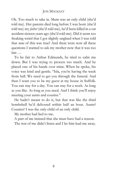## **JON MACKLEY**

Ok. Too much to take in. Mum was an only child (she'd told me). Her parents died long before I was born (she'd told me) my *father* (she'd told me), he'd been killed in a car accident sixteen years ago (she'd told me). Did it seem too freaking weird that I got slightly unglued when I was told that *none* of this was true? And there were now all these questions I wanted to ask my mother now that it was too late …

To be fair to Arthur Edmunds, he tried to calm me down. But I was trying to process too much. And he placed one of his hands over mine. When he spoke, his voice was kind and gentle. "Isla, you're having the week from hell. We need to get you through the funeral. And then I want you to be my guest at my house in Suffolk. You can stay for a day. You can stay for a week. As long as you like. As long as you need. And I think you'll enjoy meeting your aunts and cousins."

He hadn't meant to do it, but that was like the third bombshell he'd delivered within half an hour. Aunts? Cousins? I was the only child of an only child.

My mother had lied to me.

A part of me insisted that she must have had a reason.

The rest of me didn't listen and I let him lead me away.